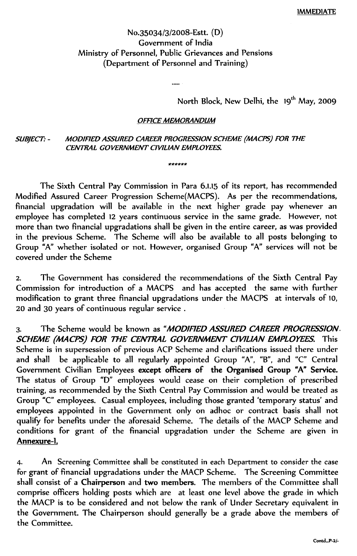# No.35034/3/2008-Estt. (D) Government of lndia Ministry of Personnel, Public Grievances and Pensions (Department of Personnel and Training)

 $\sim$ 

North Block, New Delhi, the 19<sup>th</sup> May, 2009

### **OFFICE MEMORANDUM**

\*\*\*\*\*\*

#### *MOD/FlED ASSURED CAREER PROGRESS/ON SCHEME (MACPS) FOR THE* **SUBJECT: -***CENTRAL GOVERNMENT CIVIL/AN EMPLOYEES.*

The Sixth Central Pay Commission in Para 6.1.15 of its report, has recommended Modified Assured Career Progression Scheme(MACPS). As per the recommendation financial upgradation will be available in the next higher grade pay whenever an employee has completed 12 years continuous service in the same grade. However, not more than two financial upgradations shall be given in the entire career, as was providec in the previous Scheme. The Scheme will also be available to all posts belonging to Group "A" whether isolated or not. However, organised Group "A" services will not be covered under the Scheme

2. The Government has considered the recommendations of the Sixth Central Pay Commission for introduction of a MACPS and has accepted the same with further modification to grant three financial upgradations under the MACPS at intervals of 10, 20 and 30 years of continuous regular service.

3. The Scheme would be known as *"MODIFIED ASSURED CAREER PROGRESSION. SCHEME (MACPS) FOR THE CENTRAL GOVERNMENT CIVILIAN EMPLOYEES.* This Scheme is in supersession of previous ACP Scheme and clarifications issued there under and shall be applicable to all regularly appointed Group "A", "B", and "C" Central Government Civilian Employees except officers of the Organised Group "A" Service. The status of Group "0" employees would cease on their completion of prescribed training, as recommended by the Sixth Central Pay Commission and would be treated as Group "C" employees. Casual employees, including those granted 'temporary status' and employees appointed in the Government only on adhoc or contract basis shall not qualify for benefits under the aforesaid Scheme. The details of the MACP Scheme and conditions for grant of the financial upgradation under the Scheme are given in Annexure-l.

4. An Screening Committee shall be constituted in each Department to consider the case for grant of financial upgradations uhder the MACP Scheme. The Screening Committee shall consist of a Chairperson and two members. The members of the Committee shall comprise officers holding posts which are at least one level above the grade in which the MACP is to be considered and not below the rank of Under Secretary equivalent in the Government. The Chairperson should generally be a grade above the members of the Committee.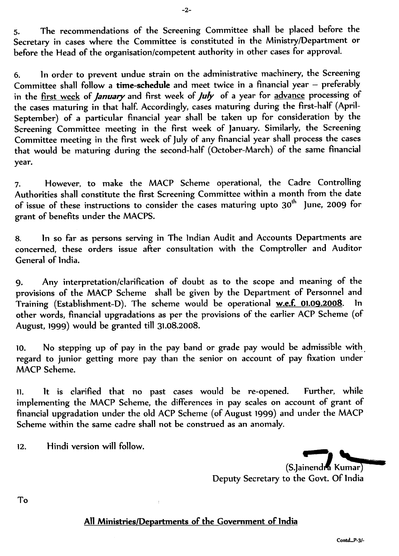5. The recommendations of the Screening Committee shall be placed before the Secretary in cases where the Committee is constituted in the MinistrylDepartment or before the Head of the organisation/competent authority in other cases for approval.

 $-2-$ 

6. ln order to prevent undue strain on the administrative machinery, the Screening Committee shall follow a time-schedule and meet twice in a financial year - preferably in the first week of *January* and first week of *July* of a year for advance processing of the cases maturing in that half. Accordingly, cases maturing during the first-half (April-September) of a particular financial year shall be taken up for consideration by the Screening Committee meeting in the first week of January. Similarly, the Screening Committee meeting in the first week of July of any financial year shall process the cases that would be maturing during the second-half (October-March) of the same financial year.

7. However, to make the MACP Scheme operational, the Cadre Controlling Authorities shall constitute the first Screening Committee within a month from the date of issue of these instructions to consider the cases maturing upto 30 $^{\rm th}$  June, 2009 for grant of benefits under the MACPS.

8. ln so far as persons serving in The lndian Audit and Accounts Departments are concerned, these orders issue after consultation with the Comptroller and Auditor General of lndia.

9. Any interpretation/clarification of doubt as to the scope and meaning of the provisions of the MACP Scheme shall be given by the Department of Personnel and Training (Establishment-D). The scheme would be operational <u>w.e.f. 01.09.2008</u>. In other words, financial upgradations as per the provisions of the earlier ACP Scheme (of August, 1999) would be granted till 31.08.2008.

10. No stepping up of pay in the pay band or grade pay would be admissible with regard to junior getting more pay than the senior on account of pay fixation under MACP Scheme.

11. It is clarified that no past cases would be re-opened. Further, while implementing the MACP Scheme, the differences in pay scales on account of grant of financial upgradation under the old ACP Scheme (of August 1999) and under the MACP Scheme within the same cadre shall not be construed as an anomaly.

Hindi version will follow.  $12.$ 

(S.Jainend *• 1*Kumar) *"~--* Deputy Secretary to the Govt. Of lndia

To

## All Ministries/Departments of the Government of India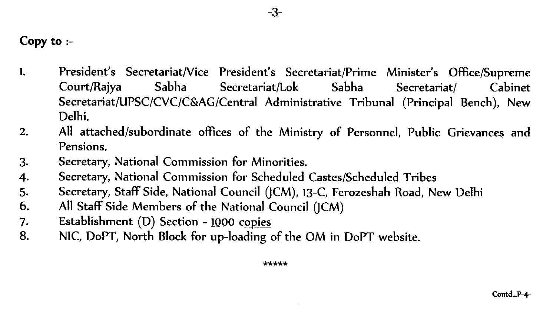1. President's Secretariat/Vice President's Secretariat/Prime Minister's Office/Supreme CourtlRajya Sabha Secretariat/Lok Sabha Secretariat/ Cabinet Secretariat/UPSC/CYC/C&AG/Central Administrative Tribunal (Principal Bench), New Delhi.

 $-3-$ 

- 2. All attached/subordinate offices of the Ministry of Personnel, Public Grievances and Pensions.
- 3. Secretary, National Commission for Minorities.
- 4. Secretary, National Commission for Scheduled Castes/Scheduled Tribes
- 5. Secretary, Staff Side, National Council (JCM), 13-C, Ferozeshah Road, New Delhi
- 6. All Staff Side Members of the National Council  $(ICM)$
- 7. Establishment (D) Section 1000 copies
- 8. N1C, DoPT, North Block for up-loading of the OM in DoPT website.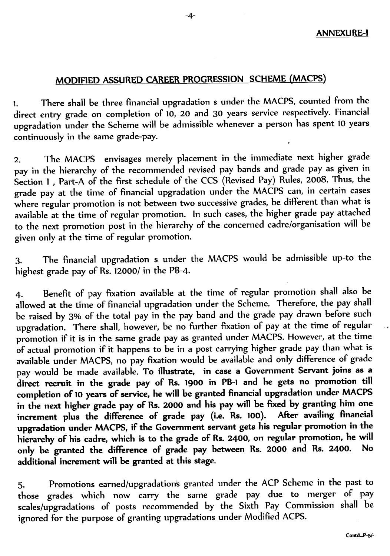# MODIFIED ASSURED CAREER PROGRESSION SCHEME (MACPS)

1. There shall be three financial upgradation s under the MACPS, counted from the lirect entry grade on completion of 10, 20 and 30 years service respectively. Financial upgradation under the Scheme will be admissible whenever a person has spent 10 years continuously in the same grade-pay.

2. The MACPS envisages merely placement in the immediate next higher grade pay in the hierarchy of the recommended revised pay bands and grade pay as given in Section 1 , Part-A of the first schedule of the CCS (Revised Pay) Rules, 2008. Thus, the grade pay at the time of financial upgradation under the MACPS can, in certain cases where regular promotion is not between two successive grades, be different than what is wailable at the time of regular promotion. In such cases, the higher grade pay attache to the next promotion post in the hierarchy of the concerned cadre/organisation will be given only at the time of regular promotion.

3. The financial upgradation s under the MACPS would be admissible up-to the highest grade pay of Rs. 12000/ in the PB-4.

4. Benefit of pay fixation available at the time of regular promotion shall also be allowed at the time of financial upgradation under the Scheme. Therefore, the pay shal be raised by 3% of the total pay in the pay band and the grade pay drawn before sucl upgradation. There shall, however, be no further fixation of pay at the time of regula promotion if it is in the same grade pay as granted under MACPS. However, at the time of actual promotion if it happens to be in a post carrying higher grade pay than what is available under MACPS, no pay fixation would be available and only difference of grad pay would be made available. To illustrate, in case a Government Servant joins as a direct recruit in the grade pay of Rs. 1900 in PB-l and he gets no promotion till completion of <sup>10</sup> years of service, he will be granted financial upgradation under MACPS in the next higher grade pay of Rs. 2000 and his pay will be fixed by granting him on increment plus the difference of grade pay (i.e. Rs. 100). After availing financia upgradation under MACPS, if the Government servant gets his regular promotion in th hierarchy of his cadre, which is to the grade of Rs. 2400, on regular promotion, he will only be granted the difference of grade pay between Rs. 2000 and Rs. 2400.  $\,$  No  $\,$ additional increment will be granted at this stage.

5. Promotions earned/upgradations granted under the ACP Scheme in the past to those grades which now carry the same grade pay due to merger of pa scales/upgradations of posts recommended by the Sixth Pay Commission shall b ignored for the purpose of granting upgradations under Modified ACPS.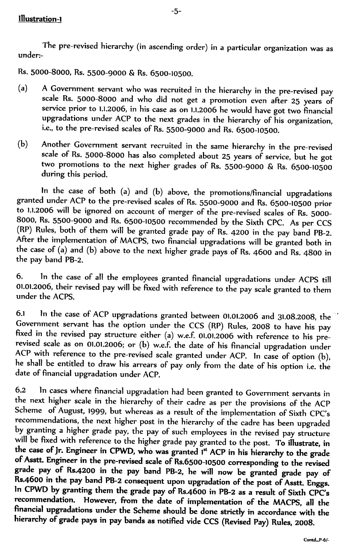The pre-revised hierarchy (in ascending order) in a particular organization was as under:-

 $-5-$ 

Rs. 5000-8000, Rs. 5500-9000 & Rs. 6500-10500.

- (a) A Government servant who was recruited in the hierarchy in the pre-revised pay scale Rs. 5000-8000 and who did not get a promotion even after 25 years o service prior to 1.1.2006, in his case as on 1.1.2006 he would have got two financi upgradations under ACP to the next grades in the hierarchy of his organizatio Le., to the pre-revised scales of Rs. 5500-9000 and Rs. 6500-10500.
- (b) Another Government servant recruited in the same hierarchy in the pre-revised scale of Rs. 5000-8000 has also completed about 25 years of service, but he got two promotions to the next higher grades of Rs. 5500-9000 & Rs. 6500-10500 during this period.

In the case of both (a) and (b) above, the promotions/financial upgradations granted under ACP to the pre-revised scales of Rs. 5500-9000 and Rs. 6500-10500 pric to 1.1.2006 will be ignored on account of merger of the pre-revised scales of Rs. 5000  $3000$ , Rs. 5500-9000 and Rs. 6500-10500 recommended by the Sixth CPC. As per CCS (RP) Rules, both of them will be granted grade pay of Rs. 4200 in the pay band PB-2. After the implementation of MACPS, two financial upgradations will be granted both in the case of (a) and (b) above to the next higher grade pays of Rs. 4600 and Rs. 4800 in the pay band PB-2.

6. ln the case of all the employees granted financial upgradations under ACPS till 11.01.2006, their revised pay will be fixed with reference to the pay scale granted to ther under the ACPS.

6.1 ln the case of ACP upgradations granted between 01.01.2006 and 31.08.2008, the iovernment servant has the option under the CCS (RP) Rules, 2008 to have his pay ixed in the revised pay structure either (a) w.e.f. 01.01.2006 with reference to his pre evised scale as on 01.01.2006; or  $(b)$  w.e.f. the date of his financial upgradation unde  $\mathsf{CP}$  with reference to the pre-revised scale granted under ACP. In case of option (b), e shall be entitled to draw his arrears of pay only from the date of his option i.e. the date of financial upgradation under ACP.

6.2 ln cases where financial upgradation had been granted to Government servants in he next higher scale in the hierarchy of their cadre as per the provisions of the ACP  $\,$ cheme) of August, 1999, but whereas as a result of the implementation of Sixth CPC' recommendations, the next higher post in the hierarchy of the cadre has been upgraded by granting a higher grade pay, the pay of such employees in the revised pay structure  $\dot{m}$  be fixed with reference to the higher grade pay granted to the post. To illustrate, in the case of Jr. Engineer in CPWD, who was granted 1<sup>st</sup> ACP in his hierarchy to the grade  $\mathsf f$  Asstt. Engineer in the pre-revised scale of Rs.6500-10500 corresponding to the revised rade pay of Rs.4200 in the pay band PB-2, he will now be granted grade pay of  $s.4600$  in the pay band PB-2 consequent upon upgradation of the post of Asstt. Enggs. ln CPWD by granting them the grade pay of Rs.4600 in PB-2 as a result of Sixth CPC's  $\alpha$  recommendation. However, from the date of implementation of the MACPS, all the financial upgradations under the Scheme should be done strictly in accordance with the hierarchy of grade pays in pay bands as notified vide CCS (Revised Pay) Rules, 2008.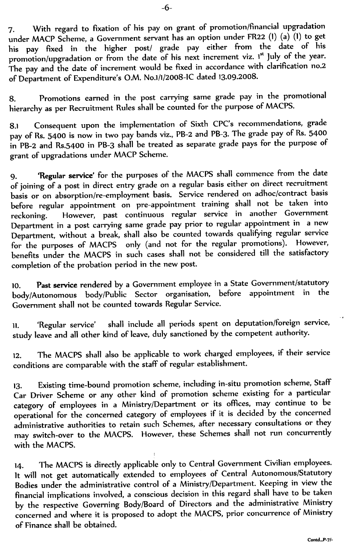7. With regard to fixation of his pay on grant of promotion/financial upgradation nder MACP Scheme, a Government servant has an option under FR22 (1) (a) (1) to get his pay flxed in the higher post/ grade pay either from the date of his romotion/upgradation or from the date of his next increment viz. I" July of the year. The pay and the date of increment would be fixed in accordance with clarification no.2 of Department of Expenditure's O.M. No.1/1/2008-IC dated 13.09.2008.

8. Promotions earned in the post carrying same grade pay in the promotional hierarchy as per Recruitment Rules shall be counted for the purpose of MACPS.

.1 Consequent upon the implementation of Sixth CPC's recommendations, grade ay of Rs. 5400 is now in two pay bands viz., PB-2 and PB-3. The grade pay of Rs. 5400 in PB-2 and Rs.5400 in PB-3 shall be treated as separate grade pays for the purpose of grant of upgradations under MACP Scheme.

9. 'Regular service' for the purposes of the MACPS shall commence from the date f joining of a post in direct entry grade on a regular basis either on direct recruitmei basis or on absorption/re-employment basis. Service rendered on adhoc/contract basis efore regular appointment on pre-appointment training shall not be taken into eckoning. However, past continuous regular service in another Governmer Department in a post carrying same grade pay prior to regular appointment in a new Department, without a break, shall also be counted towards qualifying regular service or the purposes of MACPS  $\,$  only (and not for the regular promotions). However, benefits under the MACPS in such cases shall not be considered till the satisfactor completion of the probation period in the new post.

10. Past service rendered by a Government employee in a State Government/statutory<br>hedy/Autonomous hody/Public Sector organisation before appointment in the oody/Autonomous body/Public Sector organisation, before appointment in th Government shall not be counted towards Regular Service.

11. 'Regular service' shall include all periods spent on deputation/foreign service, study leave and all other kind of leave, duly sanctioned by the competent authorit $\,$ 

2. The MACPS shall also be applicable to work charged employees, if their servic conditions are comparable with the staff of regular establishmen

13. Existing time-bound promotion scheme, including in-situ promotion scheme, Staff' Car Driver Scheme or any other kind of promotion scheme existing for a particular category of employees in a Ministry/Department or its offices, may continue to  $\mathsf b$ operational for the concerned category of employees if it is decided by the concerne administrative authorities to retain such Schemes, after necessary consultations or the may switch-over to the MACPS. However, these Schemes shall not run concurrently with the MACPS.

 $_{14}$  . The MACPS is directly applicable only to Central Government Civilian employee It will not get automatically extended to employees of Central Autonomous/Statut Bodies under the administrative control of a Ministry/Department. Keeping in view the financial implications involved, a conscious decision in this regard shall have to be take by the respective Governing Body/Board of Directors and the administrative Ministr concerned and where it is proposed to adopt the MACPS, prior concurrence of Ministr of Finance shall be obtained.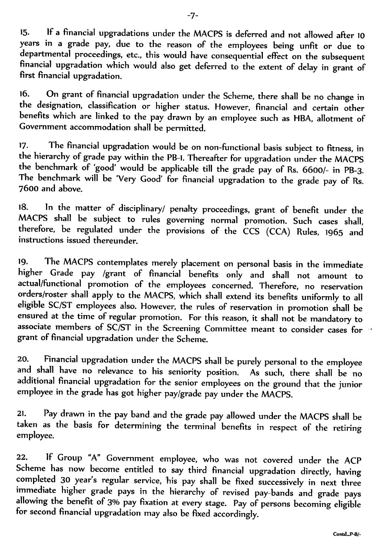15. lf a financial upgradations under the MACPS is deferred and not allowed after 10 years in a grade pay, due to the reason of the employees being unfit or due to departmental proceedings, etc., this would have consequential effect on the subsequent financial upgradation which would also get deferred to the extent of delay in grant of first financial upgradation.

16. On grant of financial upgradation under the Scheme, there shall be no change in the designation, classification or higher status. However, financial and certain oth benefits which are linked to the pay drawn by an employee such as HBA, allotment o Government accommodation shall be permitted.

17. The financial upgradation would be on non-functional basis subject to fitness, in the hierarchy of grade pay within the PB-1. Thereafter for upgradation under the MACPS the benchmark of 'good' would be applicable till the grade pay of Rs. 6600/- in PB-3. The benchmark will be 'Very Good' for financial upgradation to the grade pay of Rs. 7600 and above.

18. ln the matter of disciplinary/ penalty proceedings, grant of benefit under the MACPS shall be subject to rules governing normal promotion. Such cases shall, therefore, be regulated under the provisions of the CCS (CCA) Rules, 1965 and instructions issued thereunder.

9. The MACPS contemplates merely placement on personal basis in the immediat ngher Grade pay /grant of financial benefits only and shall not amount to ictual/functional promotion of the employees concerned. Therefore, no reservatio orders/roster shall apply to the MACPS, which shall extend its benefits uniformly to all eligible SC/ST employees also. However, the rules of reservation in promotion shall be ensured at the time of regular promotion. For this reason, it shall not be mandatory to associate members of SC/ST in the Screening Committee meant to consider cases for grant of financial upgradation under the Scheme.

20. Financial upgradation under the MACPS shall be purely personal to the employee and shall have no relevance to his seniority position. As such, there shall be no additional financial upgradation for the senior employees on the ground that the junior employee in the grade has got higher pay/grade pay under the MACPS.

21. Pay drawn in the pay band and the grade pay allowed under the MACPS shall be taken as the basis for determining the terminal benefits in respect of the retiring employee.

22. If Group "A" Government employee, who was not covered under the ACP Scheme has now become entitled to say third financial upgradation directly, having  $\sigma$  ompleted 30 year's regular service, his pay shall be fixed successively in next three immediate higher grade pays in the hierarchy of revised pay-bands and grade pays allowing the benefit of 3% pay fixation at every stage. Pay of persons becoming eligible for second financial upgradation may also be fixed accordingly.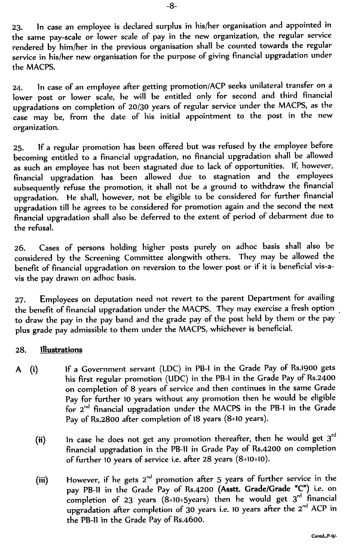23. ln case an employee is declared surplus in his/her organisation and appointed in the same pay-scale or lower scale of pay in the new organization, the regular service rendered by him/her in the previous organisation shall be counted towards the regular service in his/her new organisation for the purpose of giving financial upgradation under the MACPS.

24. ln case of an employee after getting promotion/ACP seeks unilateral transfer on a lower post or lower scale, he will be entitled only for second and third financial upgradations on completion of 20/30 years of regular service under the MACPS, as the case may be, from the date of his initial appointment to the post in the new organization.

25. lf a regular promotion has been offered but was refused by the employee before becoming entitled to a financial upgradation, no financial upgradation shall be allowed is such an employee has not been stagnated due to lack of opportunities. If, however, inancial upgradation has been allowed due to stagnation and the employee: subsequently refuse the promotion, it shall not be a ground to withdraw the financial upgradation. He shall, however, not be eligible to be considered for further financial upgradation till he agrees to be considered for promotion again and the second the next nes and the second the second of the extent of period of debarment due to financial upgradation shall also be deferred to the extent of period of debarment due to the refusal.

26. Cases of persons holding higher posts purely on adhoc basis shall also be considered by the Screening Committee alongwith others. They may be allowed th benefit of financial upgradation on reversion to the lower post or if it is beneficial vis-avis the pay drawn on adhoc basis.

27. Employees on deputation need not revert to the parent Department for availing the benefit of financial upgradation under the MACPS. They may exercise a fresh option  $\,$ to draw the pay in the pay band and the grade pay of the post held by them or the pay plus grade pay admissible to them under the MACPS, whichever is beneficia

#### **Illustrations** 28.

- lf a Government servant (tDC) in PB-l in the Grade Pay of Rs.1goo gets  $A (i)$ his first regular promotion (UDC) in the PB-I in the Grade Pay of Rs.2400 on completion of 8 years of service and then continues in the same Grade Pay for further 10 years without any promotion then he would be eligible for 2<sup>nd</sup> financial upgradation under the MACPS in the PB-1 in the Grad Pay of Rs.2800 after completion of 18 years (8+10 years).
	- (ii)  $\qquad$  ln case he does not get any promotion thereafter, then he would get 3' financial upgradation in the PB-II in Grade Pay of Rs.4200 on completion of further 10 years of service i.e. after 28 years (8+10+10).
	- (iii)  $\qquad$  However, if he gets  $2^{\mathsf{nd}}$  promotion after 5 years of further service in th pay PB-II in the Grade Pay of Rs.4200 (Asstt. Grade/Grade "C") i.e. o completion of 23 years  $(8+10+5)$  vears) then he would get  $3<sup>rd</sup>$  financi upgradation after completion of 30 years i.e. 10 years after the  $2<sup>nd</sup> ACP$  i the PB-ll in the Grade Pay of Rs.4600.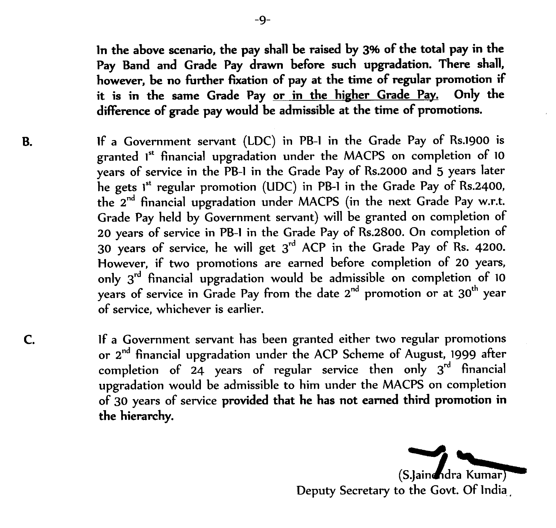In the above scenario, the pay shall be raised by 3% of the total pay in the Pay Band and Grade Pay drawn before such upgradation. There shall, however, be no further fixation of pay at the time of regular promotion if it is in the same Grade Pay or in the higher Grade Pay. Only the difference of grade pay would be admissible at the time of promotions.

If a Government servant (LDC) in PB-I in the Grade Pay of Rs.1900 is granted 1 st financial upgradation under the MACPS on completion of 10 years of service in the PB-l in the Grade Pay of Rs.2000 and 5 years later he gets 1st regular promotion (UDC) in PB-1 in the Grade Pay of Rs.2400, the 2<sup>nd</sup> financial upgradation under MACPS (in the next Grade Pay w.r.t. Grade Pay held by Government servant) will be granted on completion of 20 years of service in PB-I in the Grade Pay of Rs.2800. On completion of 30 years of service, he will get  $3^{\rm rd}$  ACP in the Grade Pay of Rs. 4200 However, if two promotions are earned before completion of 20 years, only  $3^{\mathsf{rd}}$  financial upgradation would be admissible on completion of 10 years of service in Grade Pay from the date  $2^{\mathsf{nd}}$  promotion or at  $30^{\mathsf{th}}$  year of service, whichever is earlier.

If a Government servant has been granted either two regular promotions or 2<sup>nd</sup> financial upgradation under the ACP Scheme of August, 1999 afte1 completion of 24 years of regular service then only  $3^{\mathsf{rd}}$  financial upgradation would be admissible to him under the MACPS on completion of 30 years of service provided that he has not earned third promotion in the hierarchy.

(S.Jainendra Kumar)

Deputy Secretary to the Govt. Of lndia.

**B.** 

 $\mathsf{C}$